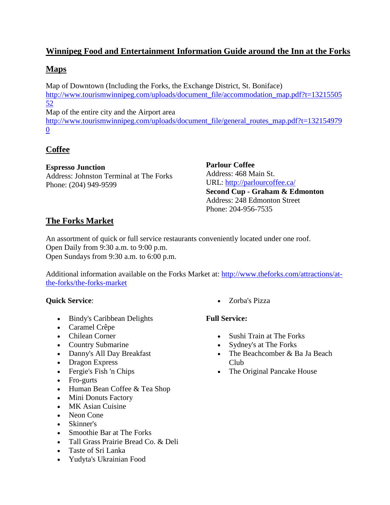# **Winnipeg Food and Entertainment Information Guide around the Inn at the Forks**

## **Maps**

Map of Downtown (Including the Forks, the Exchange District, St. Boniface) [http://www.tourismwinnipeg.com/uploads/document\\_file/accommodation\\_map.pdf?t=13215505](http://www.tourismwinnipeg.com/uploads/document_file/accommodation_map.pdf?t=1321550552) [52](http://www.tourismwinnipeg.com/uploads/document_file/accommodation_map.pdf?t=1321550552) Map of the entire city and the Airport area

[http://www.tourismwinnipeg.com/uploads/document\\_file/general\\_routes\\_map.pdf?t=132154979](http://www.tourismwinnipeg.com/uploads/document_file/general_routes_map.pdf?t=1321549790) [0](http://www.tourismwinnipeg.com/uploads/document_file/general_routes_map.pdf?t=1321549790)

# **Coffee**

### **Espresso Junction**

Address: Johnston Terminal at The Forks Phone: (204) 949-9599

**Parlour Coffee** Address: 468 Main St. URL:<http://parlourcoffee.ca/> **Second Cup - Graham & Edmonton** Address: 248 Edmonton Street Phone: 204-956-7535

# **The Forks Market**

An assortment of quick or full service restaurants conveniently located under one roof. Open Daily from 9:30 a.m. to 9:00 p.m. Open Sundays from 9:30 a.m. to 6:00 p.m.

Additional information available on the Forks Market at: [http://www.theforks.com/attractions/at](http://www.theforks.com/attractions/at-the-forks/the-forks-market)[the-forks/the-forks-market](http://www.theforks.com/attractions/at-the-forks/the-forks-market)

### **Quick Service**:

- [Bindy's Caribbean Delights](http://www.theforks.com/dining/show,listing/forks-market/all-categories/90/bindy-s-caribbean-delights)
- [Caramel Crêpe](http://www.theforks.com/dining/show,listing/forks-market/all-categories/177/caramel-cr-ecirc-pe)
- [Chilean Corner](http://www.theforks.com/dining/show,listing/forks-market/all-categories/91/chilean-corner)
- [Country Submarine](http://www.theforks.com/dining/show,listing/forks-market/all-categories/92/country-submarine)
- [Danny's All Day Breakfast](http://www.theforks.com/dining/show,listing/forks-market/all-categories/93/danny-s-all-day-breakfast)
- Dragon Express
- [Fergie's Fish 'n Chips](http://www.theforks.com/dining/show,listing/forks-market/all-categories/95/fergie-s-fish-n-chips)
- Fro-gurts
- [Human Bean Coffee &](http://www.theforks.com/dining/show,listing/forks-market/all-categories/185/human-bean-coffee-amp-tea-shop) Tea Shop
- [Mini Donuts Factory](http://www.theforks.com/dining/show,listing/forks-market/all-categories/99/mini-donuts-factory)
- MK Asian Cuisine
- Neon Cone
- [Skinner's](http://www.theforks.com/dining/show,listing/forks-market/all-categories/101/skinner-s)
- Smoothie Bar at The Forks
- [Tall Grass Prairie Bread Co. & Deli](http://www.theforks.com/dining/show,listing/forks-market/all-categories/103/tall-grass-prairie-bread-co-amp-deli)
- [Taste of Sri Lanka](http://www.theforks.com/dining/show,listing/forks-market/all-categories/104/taste-of-sri-lanka)
- [Yudyta's Ukrainian Food](http://www.theforks.com/dining/show,listing/forks-market/all-categories/106/yudyta-s-ukrainian-food)

• [Zorba's Pizza](http://www.theforks.com/dining/show,listing/forks-market/all-categories/107/zorba-s-pizza) 

### **Full Service:**

- [Sushi Train at The Forks](http://www.theforks.com/dining/show,listing/forks-market/all-categories/114/sushi-train-at-the-forks)
- [Sydney's at The Forks](http://www.theforks.com/dining/show,listing/forks-market/all-categories/115/sydney-s-at-the-forks)
- The Beachcomber & Ba Ja Beach [Club](http://www.theforks.com/dining/show,listing/forks-market/all-categories/109/the-beachcomber-amp-ba-ja-beach-club)
- The Original Pancake House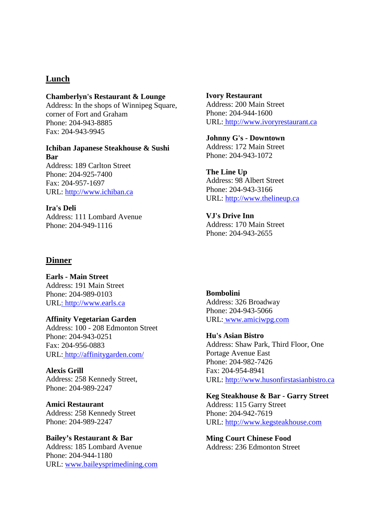### **Lunch**

#### **Chamberlyn's Restaurant & Lounge**

Address: In the shops of Winnipeg Square, corner of Fort and Graham Phone: 204-943-8885 Fax: 204-943-9945

#### **Ichiban Japanese Steakhouse & Sushi Bar** Address: 189 Carlton Street

Phone: 204-925-7400 Fax: 204-957-1697 URL: [http://www.ichiban.ca](http://www.ichiban.ca/)

### **Ira's Deli**

Address: 111 Lombard Avenue Phone: 204-949-1116

### **Ivory Restaurant** Address: 200 Main Street Phone: 204-944-1600 URL: [http://www.ivoryrestaurant.ca](http://www.ivoryrestaurant.ca/)

**Johnny G's - Downtown** Address: 172 Main Street Phone: 204-943-1072

**The Line Up** Address: 98 Albert Street Phone: 204-943-3166 URL: [http://www.thelineup.ca](http://www.thelineup.ca/)

**VJ's Drive Inn** Address: 170 Main Street Phone: 204-943-2655

### **Dinner**

**Earls - Main Street** Address: 191 Main Street Phone: 204-989-0103 URL: [http://www.earls.ca](http://www.earls.ca/)

### **Affinity Vegetarian Garden**  Address: 100 - 208 Edmonton Street Phone: 204-943-0251 Fax: 204-956-0883 URL: <http://affinitygarden.com/>

**Alexis Grill**  Address: 258 Kennedy Street, Phone: 204-989-2247

**Amici Restaurant**  Address: 258 Kennedy Street Phone: 204-989-2247

### **Bailey's Restaurant & Bar** Address: 185 Lombard Avenue Phone: 204-944-1180 URL: [www.baileysprimedining.com](http://www.tourismwinnipeg.com/catalysts/www.baileysprimedining.com)

**Bombolini**  Address: 326 Broadway Phone: 204-943-5066 URL: [www.amiciwpg.com](http://www.tourismwinnipeg.com/catalysts/www.amiciwpg.com)

### **Hu's Asian Bistro**  Address: Shaw Park, Third Floor, One Portage Avenue East Phone: 204-982-7426 Fax: 204-954-8941 URL: [http://www.husonfirstasianbistro.ca](http://www.husonfirstasianbistro.ca/)

#### **Keg Steakhouse & Bar - Garry Street**

Address: 115 Garry Street Phone: 204-942-7619 URL: [http://www.kegsteakhouse.com](http://www.kegsteakhouse.com/)

**Ming Court Chinese Food** Address: 236 Edmonton Street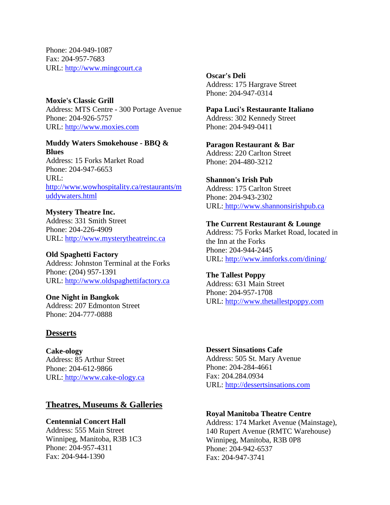Phone: 204-949-1087 Fax: 204-957-7683 URL: [http://www.mingcourt.ca](http://www.mingcourt.ca/)

**Moxie's Classic Grill** Address: MTS [Centre](http://www.tourismwinnipeg.com/things-to-do/where-to-eat/browse-by-location/display,104927/994/moxie-s-classic-grill) - 300 Portage Avenue Phone: 204-926-5757 URL: [http://www.moxies.com](http://www.moxies.com/)

### **Muddy Waters Smokehouse - BBQ & Blues**

Address: 15 Forks Market Road Phone: 204-947-6653 URL: [http://www.wowhospitality.ca/restaurants/m](http://www.wowhospitality.ca/restaurants/muddywaters.html) [uddywaters.html](http://www.wowhospitality.ca/restaurants/muddywaters.html)

**Mystery Theatre Inc.** Address: 331 Smith Street Phone: 204-226-4909 URL: [http://www.mysterytheatreinc.ca](http://www.mysterytheatreinc.ca/)

**Old Spaghetti Factory** Address: Johnston Terminal at the Forks Phone: (204) 957-1391 URL: [http://www.oldspaghettifactory.ca](http://www.oldspaghettifactory.ca/)

**One Night in Bangkok** Address: 207 Edmonton Street Phone: 204-777-0888

### **Desserts**

**Cake-ology** Address: 85 Arthur Street Phone: 204-612-9866 URL: [http://www.cake-ology.ca](http://www.cake-ology.ca/)

### **Theatres, Museums & Galleries**

**Centennial Concert Hall** Address: 555 Main Street Winnipeg, Manitoba, R3B 1C3 Phone: 204-957-4311 Fax: 204-944-1390

**Oscar's Deli** Address: 175 Hargrave Street Phone: 204-947-0314

**Papa Luci's Restaurante Italiano** Address: 302 Kennedy Street Phone: 204-949-0411

**Paragon Restaurant & Bar** Address: 220 Carlton Street Phone: 204-480-3212

**Shannon's Irish Pub** Address: 175 Carlton Street Phone: 204-943-2302 URL: [http://www.shannonsirishpub.ca](http://www.shannonsirishpub.ca/)

**The Current Restaurant & Lounge** Address: 75 Forks Market Road, located in the Inn at the Forks Phone: 204-944-2445 URL:<http://www.innforks.com/dining/>

**The Tallest Poppy** Address: 631 Main Street Phone: 204-957-1708 URL: [http://www.thetallestpoppy.com](http://www.thetallestpoppy.com/)

**Dessert Sinsations Cafe** Address: 505 St. Mary Avenue Phone: 204-284-4661 Fax: 204.284.0934 URL: [http://dessertsinsations.com](http://dessertsinsations.com/)

### **Royal Manitoba Theatre Centre**

Address: 174 Market Avenue (Mainstage), 140 Rupert Avenue (RMTC Warehouse) Winnipeg, Manitoba, R3B 0P8 Phone: 204-942-6537 Fax: 204-947-3741